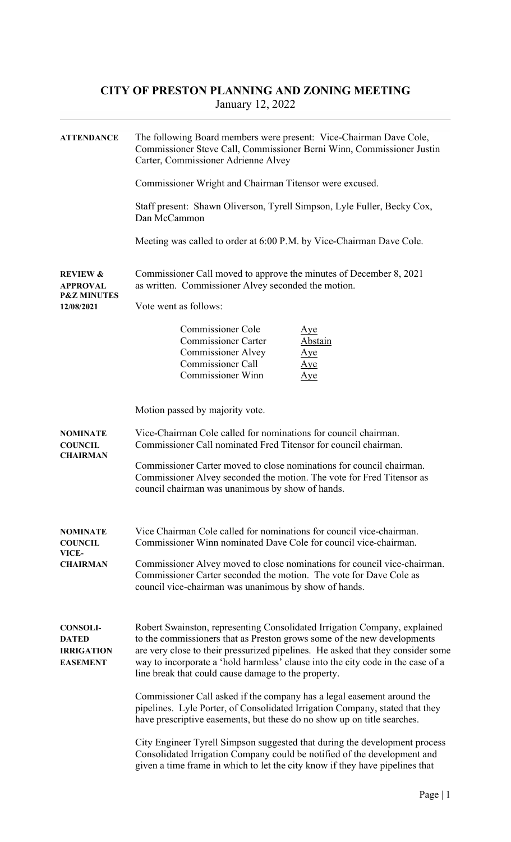## CITY OF PRESTON PLANNING AND ZONING MEETING January 12, 2022

| <b>ATTENDANCE</b>                                                              | The following Board members were present: Vice-Chairman Dave Cole,<br>Commissioner Steve Call, Commissioner Berni Winn, Commissioner Justin<br>Carter, Commissioner Adrienne Alvey                                                                                                                                                                                                |
|--------------------------------------------------------------------------------|-----------------------------------------------------------------------------------------------------------------------------------------------------------------------------------------------------------------------------------------------------------------------------------------------------------------------------------------------------------------------------------|
|                                                                                | Commissioner Wright and Chairman Titensor were excused.                                                                                                                                                                                                                                                                                                                           |
|                                                                                | Staff present: Shawn Oliverson, Tyrell Simpson, Lyle Fuller, Becky Cox,<br>Dan McCammon                                                                                                                                                                                                                                                                                           |
|                                                                                | Meeting was called to order at 6:00 P.M. by Vice-Chairman Dave Cole.                                                                                                                                                                                                                                                                                                              |
| <b>REVIEW &amp;</b><br><b>APPROVAL</b><br><b>P&amp;Z MINUTES</b><br>12/08/2021 | Commissioner Call moved to approve the minutes of December 8, 2021<br>as written. Commissioner Alvey seconded the motion.                                                                                                                                                                                                                                                         |
|                                                                                | Vote went as follows:                                                                                                                                                                                                                                                                                                                                                             |
|                                                                                | <b>Commissioner Cole</b><br>$\Delta$ ye<br><b>Commissioner Carter</b><br>Abstain<br><b>Commissioner Alvey</b><br>Aye<br><b>Commissioner Call</b><br>Aye<br><b>Commissioner Winn</b><br>Aye                                                                                                                                                                                        |
|                                                                                | Motion passed by majority vote.                                                                                                                                                                                                                                                                                                                                                   |
| <b>NOMINATE</b><br><b>COUNCIL</b><br><b>CHAIRMAN</b>                           | Vice-Chairman Cole called for nominations for council chairman.<br>Commissioner Call nominated Fred Titensor for council chairman.                                                                                                                                                                                                                                                |
|                                                                                | Commissioner Carter moved to close nominations for council chairman.<br>Commissioner Alvey seconded the motion. The vote for Fred Titensor as<br>council chairman was unanimous by show of hands.                                                                                                                                                                                 |
| <b>NOMINATE</b><br><b>COUNCIL</b><br>VICE-                                     | Vice Chairman Cole called for nominations for council vice-chairman.<br>Commissioner Winn nominated Dave Cole for council vice-chairman.                                                                                                                                                                                                                                          |
| <b>CHAIRMAN</b>                                                                | Commissioner Alvey moved to close nominations for council vice-chairman.<br>Commissioner Carter seconded the motion. The vote for Dave Cole as<br>council vice-chairman was unanimous by show of hands.                                                                                                                                                                           |
| <b>CONSOLI-</b><br><b>DATED</b><br><b>IRRIGATION</b><br><b>EASEMENT</b>        | Robert Swainston, representing Consolidated Irrigation Company, explained<br>to the commissioners that as Preston grows some of the new developments<br>are very close to their pressurized pipelines. He asked that they consider some<br>way to incorporate a 'hold harmless' clause into the city code in the case of a<br>line break that could cause damage to the property. |
|                                                                                | Commissioner Call asked if the company has a legal easement around the<br>pipelines. Lyle Porter, of Consolidated Irrigation Company, stated that they<br>have prescriptive easements, but these do no show up on title searches.                                                                                                                                                 |
|                                                                                | City Engineer Tyrell Simpson suggested that during the development process<br>Consolidated Irrigation Company could be notified of the development and<br>given a time frame in which to let the city know if they have pipelines that                                                                                                                                            |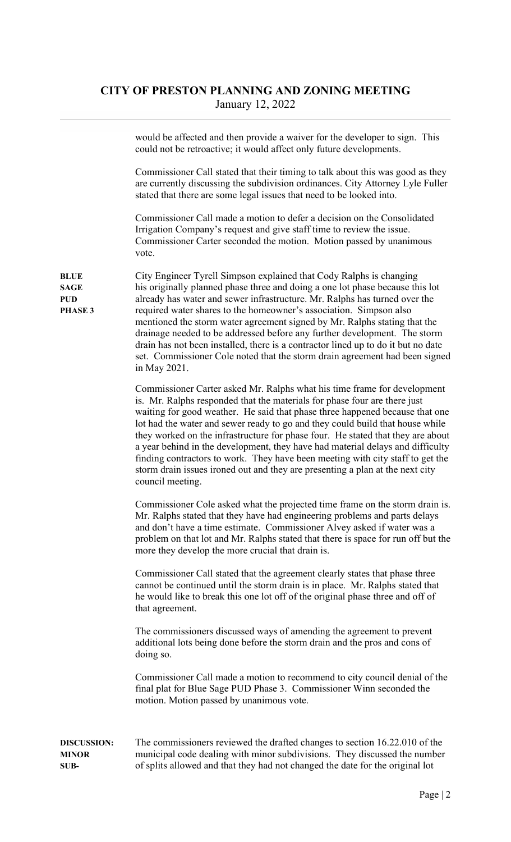## CITY OF PRESTON PLANNING AND ZONING MEETING January 12, 2022

would be affected and then provide a waiver for the developer to sign. This could not be retroactive; it would affect only future developments.

 Commissioner Call stated that their timing to talk about this was good as they are currently discussing the subdivision ordinances. City Attorney Lyle Fuller stated that there are some legal issues that need to be looked into.

 Commissioner Call made a motion to defer a decision on the Consolidated Irrigation Company's request and give staff time to review the issue. Commissioner Carter seconded the motion. Motion passed by unanimous vote.

BLUE City Engineer Tyrell Simpson explained that Cody Ralphs is changing SAGE his originally planned phase three and doing a one lot phase because this lot PUD already has water and sewer infrastructure. Mr. Ralphs has turned over the PHASE 3 required water shares to the homeowner's association. Simpson also mentioned the storm water agreement signed by Mr. Ralphs stating that the drainage needed to be addressed before any further development. The storm drain has not been installed, there is a contractor lined up to do it but no date set. Commissioner Cole noted that the storm drain agreement had been signed in May 2021.

> Commissioner Carter asked Mr. Ralphs what his time frame for development is. Mr. Ralphs responded that the materials for phase four are there just waiting for good weather. He said that phase three happened because that one lot had the water and sewer ready to go and they could build that house while they worked on the infrastructure for phase four. He stated that they are about a year behind in the development, they have had material delays and difficulty finding contractors to work. They have been meeting with city staff to get the storm drain issues ironed out and they are presenting a plan at the next city council meeting.

> Commissioner Cole asked what the projected time frame on the storm drain is. Mr. Ralphs stated that they have had engineering problems and parts delays and don't have a time estimate. Commissioner Alvey asked if water was a problem on that lot and Mr. Ralphs stated that there is space for run off but the more they develop the more crucial that drain is.

 Commissioner Call stated that the agreement clearly states that phase three cannot be continued until the storm drain is in place. Mr. Ralphs stated that he would like to break this one lot off of the original phase three and off of that agreement.

 The commissioners discussed ways of amending the agreement to prevent additional lots being done before the storm drain and the pros and cons of doing so.

 Commissioner Call made a motion to recommend to city council denial of the final plat for Blue Sage PUD Phase 3. Commissioner Winn seconded the motion. Motion passed by unanimous vote.

DISCUSSION: The commissioners reviewed the drafted changes to section 16.22.010 of the MINOR municipal code dealing with minor subdivisions. They discussed the number SUB- of splits allowed and that they had not changed the date for the original lot

Page | 2